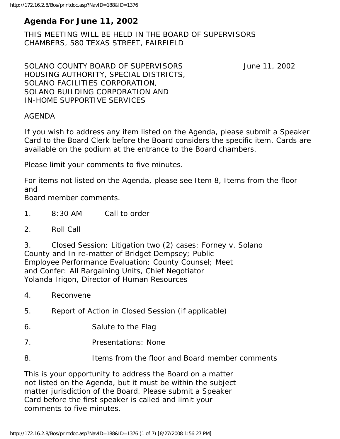# **Agenda For June 11, 2002**

THIS MEETING WILL BE HELD IN THE BOARD OF SUPERVISORS CHAMBERS, 580 TEXAS STREET, FAIRFIELD

SOLANO COUNTY BOARD OF SUPERVISORS June 11, 2002 HOUSING AUTHORITY, SPECIAL DISTRICTS, SOLANO FACILITIES CORPORATION, SOLANO BUILDING CORPORATION AND IN-HOME SUPPORTIVE SERVICES

#### AGENDA

If you wish to address any item listed on the Agenda, please submit a Speaker Card to the Board Clerk before the Board considers the specific item. Cards are available on the podium at the entrance to the Board chambers.

Please limit your comments to five minutes.

For items not listed on the Agenda, please see Item 8, Items from the floor and

Board member comments.

- 1. 8:30 AM Call to order
- 2. Roll Call

3. Closed Session: Litigation two (2) cases: Forney v. Solano County and In re-matter of Bridget Dempsey; Public Employee Performance Evaluation: County Counsel; Meet and Confer: All Bargaining Units, Chief Negotiator Yolanda Irigon, Director of Human Resources

- 4. Reconvene
- 5. Report of Action in Closed Session (if applicable)
- 6. Salute to the Flag
- 7. Presentations: None
- 8. Items from the floor and Board member comments

This is your opportunity to address the Board on a matter not listed on the Agenda, but it must be within the subject matter jurisdiction of the Board. Please submit a Speaker Card before the first speaker is called and limit your comments to five minutes.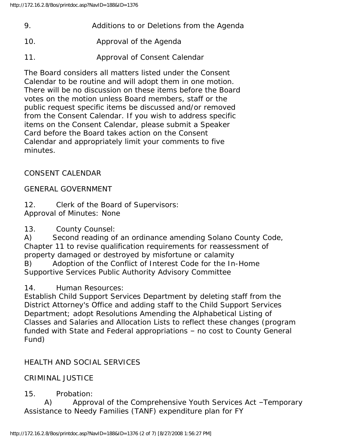- 9. Additions to or Deletions from the Agenda
- 10. Approval of the Agenda
- 11. Approval of Consent Calendar

The Board considers all matters listed under the Consent Calendar to be routine and will adopt them in one motion. There will be no discussion on these items before the Board votes on the motion unless Board members, staff or the public request specific items be discussed and/or removed from the Consent Calendar. If you wish to address specific items on the Consent Calendar, please submit a Speaker Card before the Board takes action on the Consent Calendar and appropriately limit your comments to five minutes.

## CONSENT CALENDAR

## GENERAL GOVERNMENT

12. Clerk of the Board of Supervisors: Approval of Minutes: None

13. County Counsel:

A) Second reading of an ordinance amending Solano County Code, Chapter 11 to revise qualification requirements for reassessment of property damaged or destroyed by misfortune or calamity

B) Adoption of the Conflict of Interest Code for the In-Home Supportive Services Public Authority Advisory Committee

14. Human Resources:

Establish Child Support Services Department by deleting staff from the District Attorney's Office and adding staff to the Child Support Services Department; adopt Resolutions Amending the Alphabetical Listing of Classes and Salaries and Allocation Lists to reflect these changes (program funded with State and Federal appropriations – no cost to County General Fund)

# HEALTH AND SOCIAL SERVICES

## CRIMINAL JUSTICE

## 15. Probation:

 A) Approval of the Comprehensive Youth Services Act –Temporary Assistance to Needy Families (TANF) expenditure plan for FY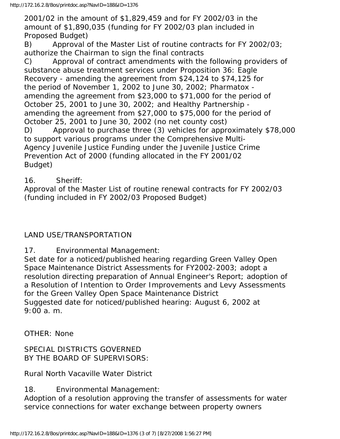2001/02 in the amount of \$1,829,459 and for FY 2002/03 in the amount of \$1,890,035 (funding for FY 2002/03 plan included in Proposed Budget)

B) Approval of the Master List of routine contracts for FY 2002/03; authorize the Chairman to sign the final contracts

C) Approval of contract amendments with the following providers of substance abuse treatment services under Proposition 36: Eagle Recovery - amending the agreement from \$24,124 to \$74,125 for the period of November 1, 2002 to June 30, 2002; Pharmatox amending the agreement from \$23,000 to \$71,000 for the period of October 25, 2001 to June 30, 2002; and Healthy Partnership amending the agreement from \$27,000 to \$75,000 for the period of October 25, 2001 to June 30, 2002 (no net county cost) D) Approval to purchase three (3) vehicles for approximately \$78,000 to support various programs under the Comprehensive Multi-Agency Juvenile Justice Funding under the Juvenile Justice Crime Prevention Act of 2000 (funding allocated in the FY 2001/02 Budget)

16. Sheriff:

Approval of the Master List of routine renewal contracts for FY 2002/03 (funding included in FY 2002/03 Proposed Budget)

## LAND USE/TRANSPORTATION

17. Environmental Management:

Set date for a noticed/published hearing regarding Green Valley Open Space Maintenance District Assessments for FY2002-2003; adopt a resolution directing preparation of Annual Engineer's Report; adoption of a Resolution of Intention to Order Improvements and Levy Assessments for the Green Valley Open Space Maintenance District Suggested date for noticed/published hearing: August 6, 2002 at 9:00 a. m.

OTHER: None

SPECIAL DISTRICTS GOVERNED BY THE BOARD OF SUPERVISORS:

Rural North Vacaville Water District

18. Environmental Management: Adoption of a resolution approving the transfer of assessments for water service connections for water exchange between property owners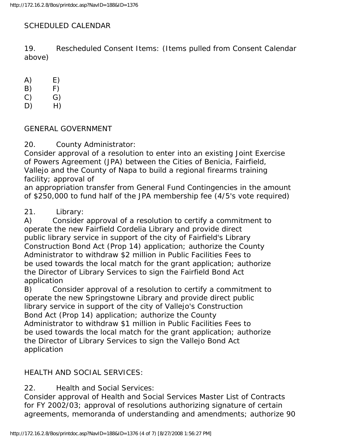## SCHEDULED CALENDAR

19. Rescheduled Consent Items: (Items pulled from Consent Calendar above)

 $(A)$   $E)$ 

- $(B)$   $F)$
- $(C)$   $G)$
- D) H)

### GENERAL GOVERNMENT

20. County Administrator:

Consider approval of a resolution to enter into an existing Joint Exercise of Powers Agreement (JPA) between the Cities of Benicia, Fairfield, Vallejo and the County of Napa to build a regional firearms training facility; approval of

an appropriation transfer from General Fund Contingencies in the amount of \$250,000 to fund half of the JPA membership fee (4/5's vote required)

## 21. Library:

A) Consider approval of a resolution to certify a commitment to operate the new Fairfield Cordelia Library and provide direct public library service in support of the city of Fairfield's Library Construction Bond Act (Prop 14) application; authorize the County Administrator to withdraw \$2 million in Public Facilities Fees to be used towards the local match for the grant application; authorize the Director of Library Services to sign the Fairfield Bond Act application

B) Consider approval of a resolution to certify a commitment to operate the new Springstowne Library and provide direct public library service in support of the city of Vallejo's Construction Bond Act (Prop 14) application; authorize the County Administrator to withdraw \$1 million in Public Facilities Fees to be used towards the local match for the grant application; authorize the Director of Library Services to sign the Vallejo Bond Act application

## HEALTH AND SOCIAL SERVICES:

22. Health and Social Services:

Consider approval of Health and Social Services Master List of Contracts for FY 2002/03; approval of resolutions authorizing signature of certain agreements, memoranda of understanding and amendments; authorize 90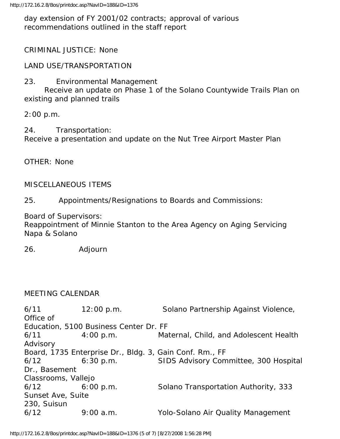day extension of FY 2001/02 contracts; approval of various recommendations outlined in the staff report

### CRIMINAL JUSTICE: None

LAND USE/TRANSPORTATION

23. Environmental Management

 Receive an update on Phase 1 of the Solano Countywide Trails Plan on existing and planned trails

2:00 p.m.

24. Transportation: Receive a presentation and update on the Nut Tree Airport Master Plan

OTHER: None

#### MISCELLANEOUS ITEMS

25. Appointments/Resignations to Boards and Commissions:

Board of Supervisors:

Reappointment of Minnie Stanton to the Area Agency on Aging Servicing Napa & Solano

26. Adjourn

#### MEETING CALENDAR

6/11 12:00 p.m. Solano Partnership Against Violence, Office of Education, 5100 Business Center Dr. FF 6/11 4:00 p.m. Maternal, Child, and Adolescent Health Advisory Board, 1735 Enterprise Dr., Bldg. 3, Gain Conf. Rm., FF 6/12 6:30 p.m. SIDS Advisory Committee, 300 Hospital Dr., Basement Classrooms, Vallejo 6/12 6:00 p.m. Solano Transportation Authority, 333 Sunset Ave, Suite 230, Suisun 6/12 9:00 a.m. Yolo-Solano Air Quality Management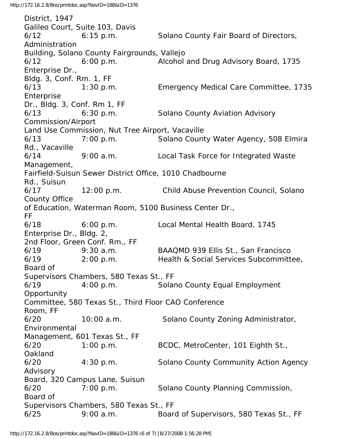District, 1947 Galileo Court, Suite 103, Davis 6/12 6:15 p.m. Solano County Fair Board of Directors, Administration Building, Solano County Fairgrounds, Vallejo 6/12 6:00 p.m. Alcohol and Drug Advisory Board, 1735 Enterprise Dr., Bldg. 3, Conf. Rm. 1, FF 6/13 1:30 p.m. Emergency Medical Care Committee, 1735 Enterprise Dr., Bldg. 3, Conf. Rm 1, FF 6/13 6:30 p.m. Solano County Aviation Advisory Commission/Airport Land Use Commission, Nut Tree Airport, Vacaville 6/13 7:00 p.m. Solano County Water Agency, 508 Elmira Rd., Vacaville 6/14 9:00 a.m. Local Task Force for Integrated Waste Management, Fairfield-Suisun Sewer District Office, 1010 Chadbourne Rd., Suisun 6/17 12:00 p.m. Child Abuse Prevention Council, Solano County Office of Education, Waterman Room, 5100 Business Center Dr., FF 6/18 6:00 p.m. Local Mental Health Board, 1745 Enterprise Dr., Bldg. 2, 2nd Floor, Green Conf. Rm., FF 6/19 9:30 a.m. BAAQMD 939 Ellis St., San Francisco 6/19 2:00 p.m. Health & Social Services Subcommittee, Board of Supervisors Chambers, 580 Texas St., FF 6/19 4:00 p.m. Solano County Equal Employment **Opportunity** Committee, 580 Texas St., Third Floor CAO Conference Room, FF 6/20 10:00 a.m. Solano County Zoning Administrator, Environmental Management, 601 Texas St., FF 6/20 1:00 p.m. BCDC, MetroCenter, 101 Eighth St., Oakland 6/20 4:30 p.m. Solano County Community Action Agency Advisory Board, 320 Campus Lane, Suisun 6/20 7:00 p.m. Solano County Planning Commission, Board of Supervisors Chambers, 580 Texas St., FF 6/25 9:00 a.m. Board of Supervisors, 580 Texas St., FF